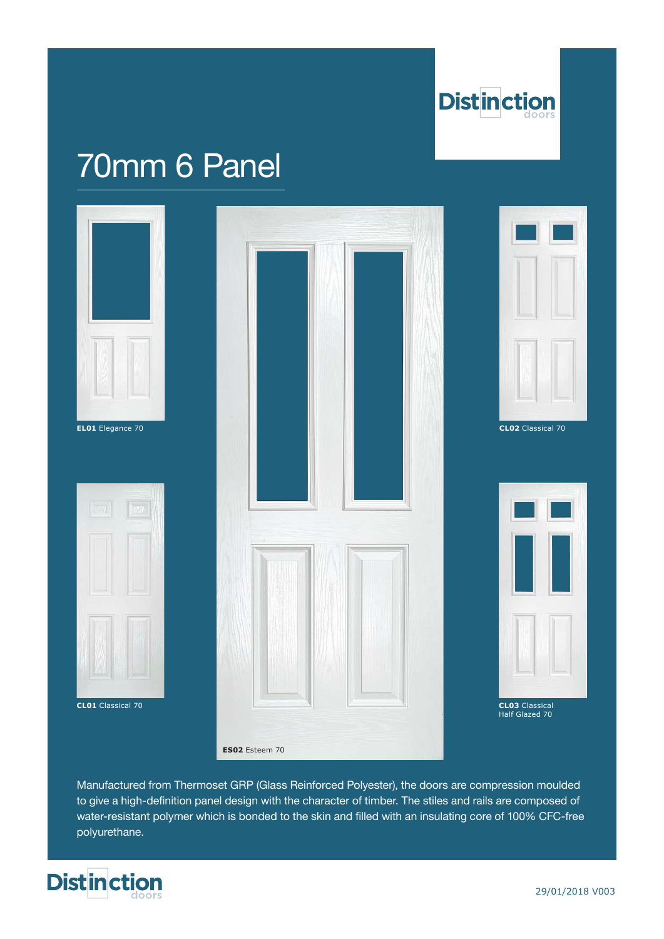

# 70mm 6 Panel



**CL01** Classical 70 **CL03** Classical





**CL02** Classical 70



CL03 Classical<br>Half Glazed 70

Manufactured from Thermoset GRP (Glass Reinforced Polyester), the doors are compression moulded to give a high-definition panel design with the character of timber. The stiles and rails are composed of water-resistant polymer which is bonded to the skin and filled with an insulating core of 100% CFC-free polyurethane.